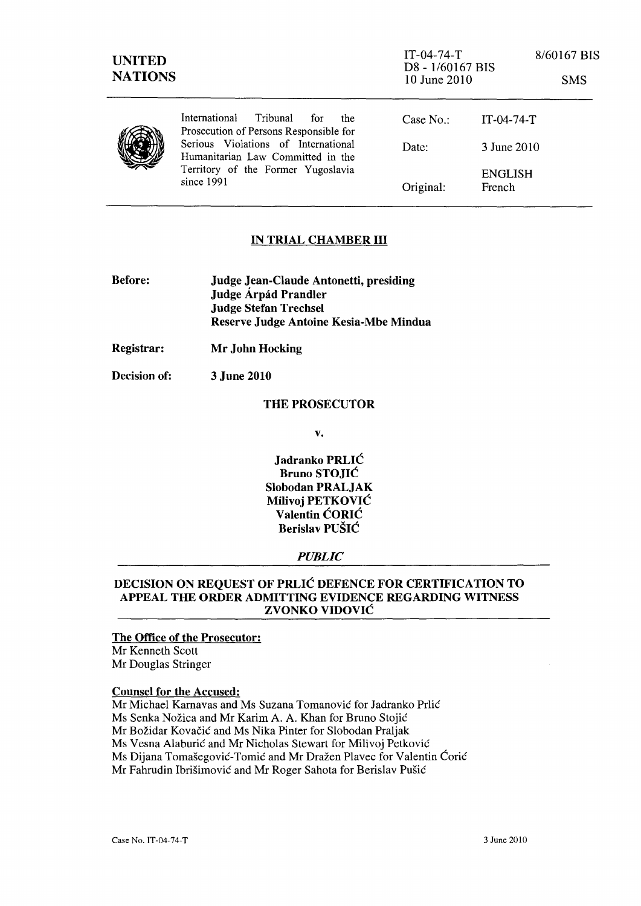| <b>UNITED</b><br><b>NATIONS</b> |                                                                                                                              | $IT-04-74-T$<br>D8 - 1/60167 BIS<br>10 June 2010 |                                 | 8/60167 BIS<br><b>SMS</b> |
|---------------------------------|------------------------------------------------------------------------------------------------------------------------------|--------------------------------------------------|---------------------------------|---------------------------|
|                                 | International<br>Tribunal<br>for<br>the<br>Prosecution of Persons Responsible for                                            | Case No $\cdot$                                  | $IT-04-74-T$                    |                           |
|                                 | Serious Violations of International<br>Humanitarian Law Committed in the<br>Territory of the Former Yugoslavia<br>since 1991 | Date:                                            | 3 June 2010                     |                           |
|                                 |                                                                                                                              | Original:                                        | <b>ENGLISH</b><br><b>French</b> |                           |

## IN TRIAL CHAMBER III

| <b>Before:</b> | <b>Judge Jean-Claude Antonetti, presiding</b> |  |  |
|----------------|-----------------------------------------------|--|--|
|                | Judge Árpád Prandler                          |  |  |
|                | Judge Stefan Trechsel                         |  |  |
|                | Reserve Judge Antoine Kesia-Mbe Mindua        |  |  |

Registrar: Mr John Hocking

Decision of: 3 June 2010

#### THE PROSECUTOR

v.

Jadranko PRLIC Bruno STOJIC Slobodan PRALJAK Milivoj PETKOVIC Valentin CORIC Berislav PUSIC

#### *PUBLIC*

### DECISION ON REQUEST OF PRLIC DEFENCE FOR CERTIFICATION TO APPEAL THE ORDER ADMITTING EVIDENCE REGARDING WITNESS ZVONKO VIDOVIC

## The Office of the Prosecutor:

Mr Kenneth Scott Mr Douglas Stringer

### Counsel for the Accused:

Mr Michael Karnavas and Ms Suzana Tomanović for Jadranko Prlić Ms Senka Nožica and Mr Karim A. A. Khan for Bruno Stojić Mr Božidar Kovačić and Ms Nika Pinter for Slobodan Praljak Ms Vesna Alaburić and Mr Nicholas Stewart for Milivoj Petković Ms Dijana Tomašegović-Tomić and Mr Dražen Plavec for Valentin Ćorić Mr Fahrudin Ibrišimović and Mr Roger Sahota for Berislav Pušić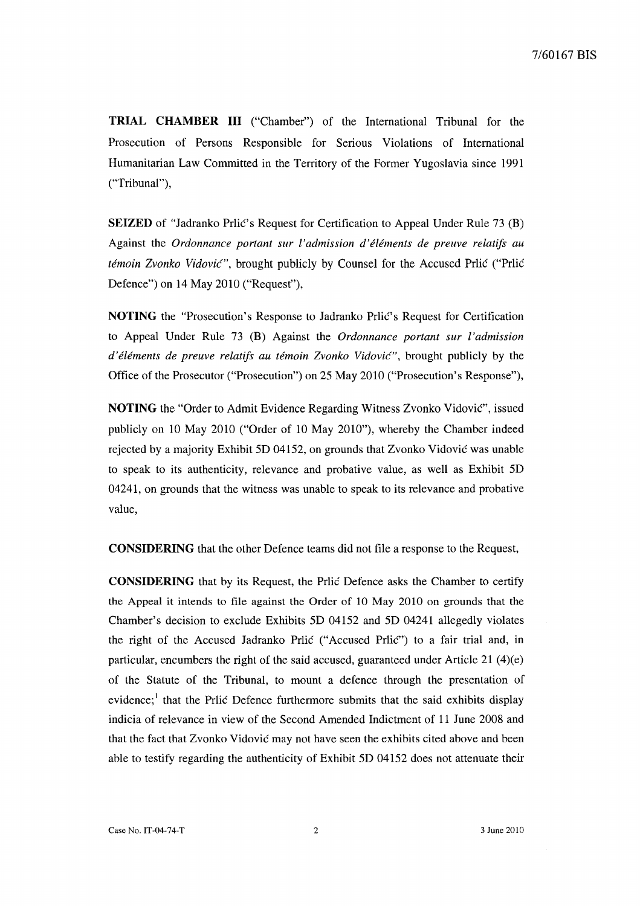**TRIAL CHAMBER III** ("Chamber") of the International Tribunal for the Prosecution of Persons Responsible for Serious Violations of International Humanitarian Law Committed in the Territory of the Former Yugoslavia since 1991 ("Tribunal"),

**SEIZED** of "Jadranko Prlic's Request for Certification to Appeal Under Rule 73 (B) Against the *Ordonnance portant sur l'admission d'elements de preuve relatifs au remoin Zvonko Vidovic",* brought publicly by Counsel for the Accused Prlic ("Prlic Defence") on 14 May 2010 ("Request"),

**NOTING** the "Prosecution's Response to Jadranko Prlic's Request for Certification to Appeal Under Rule 73 (B) Against the *Ordonnance portant sur l'admission d'eiements de preuve relatifs au temoin Zvonko Vidovic",* brought publicly by the Office of the Prosecutor ("Prosecution") on 25 May 2010 ("Prosecution's Response"),

**NOTING** the "Order to Admit Evidence Regarding Witness Zvonko Vidovic", issued publicly on 10 May 2010 ("Order of 10 May 2010"), whereby the Chamber indeed rejected by a majority Exhibit 5D 04152, on grounds that Zvonko Vidovic was unable to speak to its authenticity, relevance and probative value, as well as Exhibit 5D 04241, on grounds that the witness was unable to speak to its relevance and probative value,

**CONSIDERING** that the other Defence teams did not file a response to the Request,

**CONSIDERING** that by its Request, the Prlic Defence asks the Chamber to certify the Appeal it intends to file against the Order of 10 May 2010 on grounds that the Chamber's decision to exclude Exhibits 5D 04152 and 5D 04241 allegedly violates the right of the Accused Jadranko Prlic ("Accused PrliC") to a fair trial and, in particular, encumbers the right of the said accused, guaranteed under Article 21  $(4)(e)$ of the Statute of the Tribunal, to mount a defence through the presentation of evidence;<sup>1</sup> that the Prlic Defence furthermore submits that the said exhibits display indicia of relevance in view of the Second Amended Indictment of 11 June 2008 and that the fact that Zvonko Vidovic may not have seen the exhibits cited above and been able to testify regarding the authenticity of Exhibit 5D 04152 does not attenuate their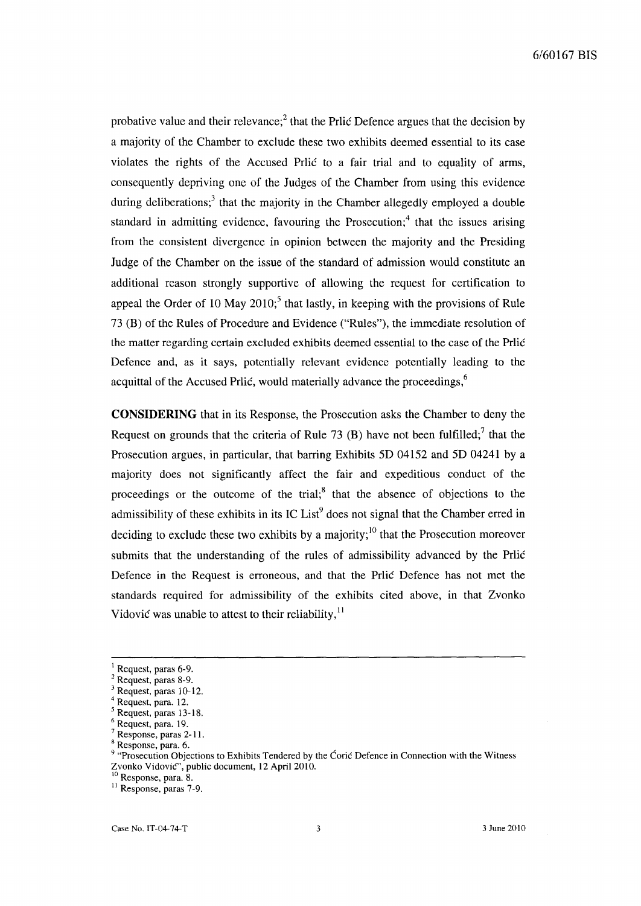probative value and their relevance;<sup>2</sup> that the Prlic Defence argues that the decision by a majority of the Chamber to exclude these two exhibits deemed essential to its case violates the rights of the Accused Prlic to a fair trial and to equality of arms, consequently depriving one of the Judges of the Chamber from using this evidence during deliberations;<sup>3</sup> that the majority in the Chamber allegedly employed a double standard in admitting evidence, favouring the Prosecution;<sup>4</sup> that the issues arising from the consistent divergence in opinion between the majority and the Presiding Judge of the Chamber on the issue of the standard of admission would constitute an additional reason strongly supportive of allowing the request for certification to appeal the Order of 10 May  $2010<sub>i</sub>$ <sup>5</sup> that lastly, in keeping with the provisions of Rule 73 (B) of the Rules of Procedure and Evidence ("Rules"), the immediate resolution of the matter regarding certain excluded exhibits deemed essential to the case of the Prlic Defence and, as it says, potentially relevant evidence potentially leading to the acquittal of the Accused Prlic, would materially advance the proceedings,  $6\%$ 

**CONSIDERING** that in its Response, the Prosecution asks the Chamber to deny the Request on grounds that the criteria of Rule 73 (B) have not been fulfilled;<sup>7</sup> that the Prosecution argues, in particular, that barring Exhibits 5D 04152 and 5D 04241 by a majority does not significantly affect the fair and expeditious conduct of the proceedings or the outcome of the trial; $<sup>8</sup>$  that the absence of objections to the</sup> admissibility of these exhibits in its IC List<sup>9</sup> does not signal that the Chamber erred in deciding to exclude these two exhibits by a majority;  $\frac{10}{10}$  that the Prosecution moreover submits that the understanding of the rules of admissibility advanced by the Prlic Defence in the Request is erroneous, and that the Prlic Defence has not met the standards required for admissibility of the exhibits cited above, in that Zvonko Vidović was unable to attest to their reliability,  $11$ 

Request, paras 6-9.

<sup>&</sup>lt;sup>2</sup> Request, paras 8-9.

<sup>3</sup> Request, paras 10-12.

Request, para. 12.

<sup>&</sup>lt;sup>5</sup> Request, paras 13-18.

Request, para. 19.

Response, paras 2-11.

<sup>8</sup> Response, para. 6.

<sup>&</sup>lt;sup>9</sup> "Prosecution Objections to Exhibits Tendered by the Coric Defence in Connection with the Witness Zvonko Vidović", public document, 12 April 2010.

<sup>&</sup>lt;sup>10</sup> Response, para. 8.

<sup>&</sup>lt;sup>11</sup> Response, paras 7-9.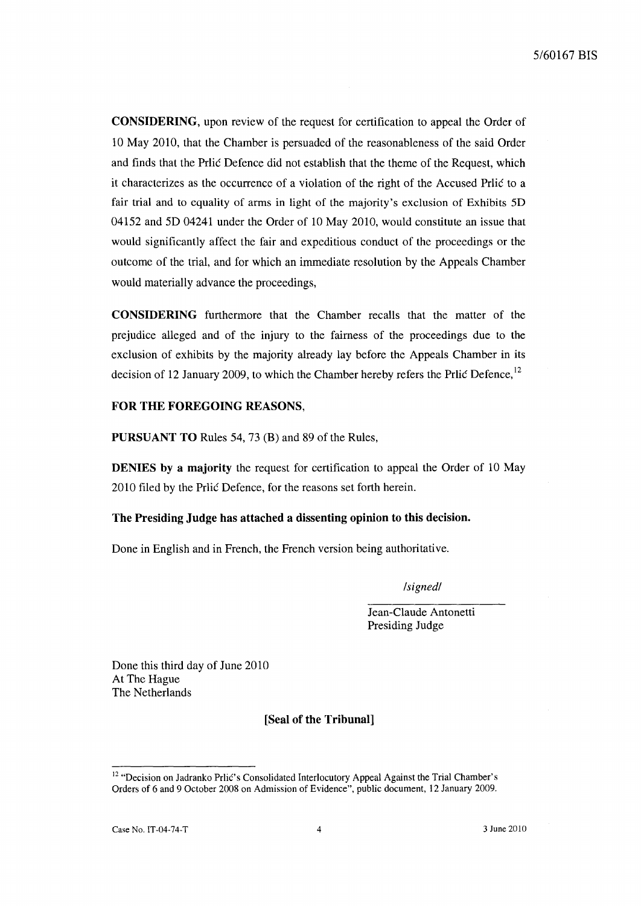CONSIDERING, upon review of the request for certification to appeal the Order of 10 May 2010, that the Chamber is persuaded of the reasonableness of the said Order and finds that the Prlic Defence did not establish that the theme of the Request, which it characterizes as the occurrence of a violation of the right of the Accused Prlic to a fair trial and to equality of arms in light of the majority's exclusion of Exhibits 5D 04152 and 5D 04241 under the Order of 10 May 2010, would constitute an issue that would significantly affect the fair and expeditious conduct of the proceedings or the outcome of the trial, and for which an immediate resolution by the Appeals Chamber would materially advance the proceedings,

CONSIDERING furthermore that the Chamber recalls that the matter of the prejudice alleged and of the injury to the fairness of the proceedings due to the exclusion of exhibits by the majority already lay before the Appeals Chamber in its decision of 12 January 2009, to which the Chamber hereby refers the Prlic Defence, <sup>12</sup>

### FOR THE FOREGOING REASONS,

PURSUANT TO Rules 54, 73 (B) and 89 of the Rules,

DENIES by a majority the request for certification to appeal the Order of 10 May 2010 filed by the Prlic Defence, for the reasons set forth herein.

### The Presiding Judge has attached a dissenting opinion to this decision.

Done in English and in French, the French version being authoritative.

*/signed/* 

Jean-Claude Antonetti Presiding Judge

Done this third day of June 2010 At The Hague The Netherlands

# [Seal of the Tribunal]

<sup>&</sup>lt;sup>12</sup> "Decision on Jadranko Prlić's Consolidated Interlocutory Appeal Against the Trial Chamber's Orders of 6 and 9 October 2008 on Admission of Evidence", public document, 12 January 2009.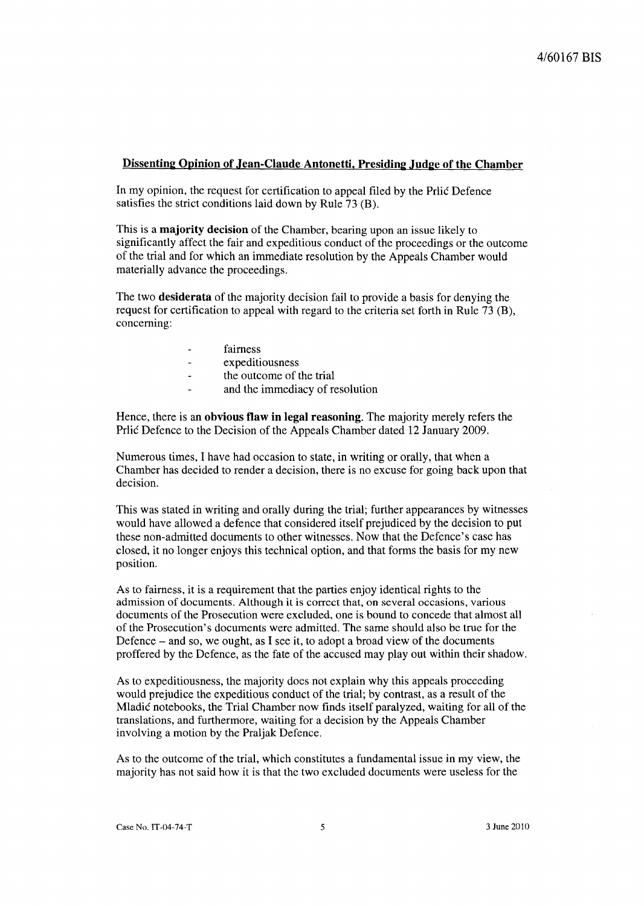### Dissenting Opinion of Jean-Claude Antonetti, Presiding .Judge of the Chamber

In my opinion, the request for certification to appeal filed by the Prlic Defence satisfies the strict conditions laid down by Rule  $\overline{73}$  (B).

This is a majority decision of the Chamber, bearing upon an issue likely to significantly affect the fair and expeditious conduct of the proceedings or the outcome of the trial and for which an immediate resolution by the Appeals Chamber would materially advance the proceedings.

The two desiderata of the majority decision fail to provide a basis for denying the request for certification to appeal with regard to the criteria set forth in Rule 73 (B), concerning:

- fairness  $\ddot{\phantom{1}}$
- expeditiousness  $\ddot{\phantom{a}}$
- the outcome of the trial
- and the immediacy of resolution

Hence, there is an obvious flaw in legal reasoning. The majority merely refers the Prlic Defence to the Decision of the Appeals Chamber dated 12 January 2009.

Numerous times, I have had occasion to state, in writing or orally, that when a Chamber has decided to render a decision, there is no excuse for going back upon that decision.

This was stated in writing and orally during the trial; further appearances by witnesses would have allowed a defence that considered itself prejudiced by the decision to put these non-admitted documents to other witnesses. Now that the Defence's case has closed, it no longer enjoys this technical option, and that forms the basis for my new position.

As to fairness, it is a requirement that the parties enjoy identical rights to the admission of documents. Although it is correct that, on several occasions, various documents of the Prosecution were excluded, one is bound to concede that almost all of the Prosecution's documents were admitted. The same should also be true for the Defence  $-$  and so, we ought, as I see it, to adopt a broad view of the documents proffered by the Defence, as the fate of the accused may play out within their shadow.

As to expeditiousness, the majority does not explain why this appeals proceeding would prejudice the expeditious conduct of the trial; by contrast, as a result of the Mladić notebooks, the Trial Chamber now finds itself paralyzed, waiting for all of the translations, and furthermore, waiting for a decision by the Appeals Chamber involving a motion by the Praljak Defence.

As to the outcome of the trial, which constitutes a fundamental issue in my view, the majority has not said how it is that the two excluded documents were useless for the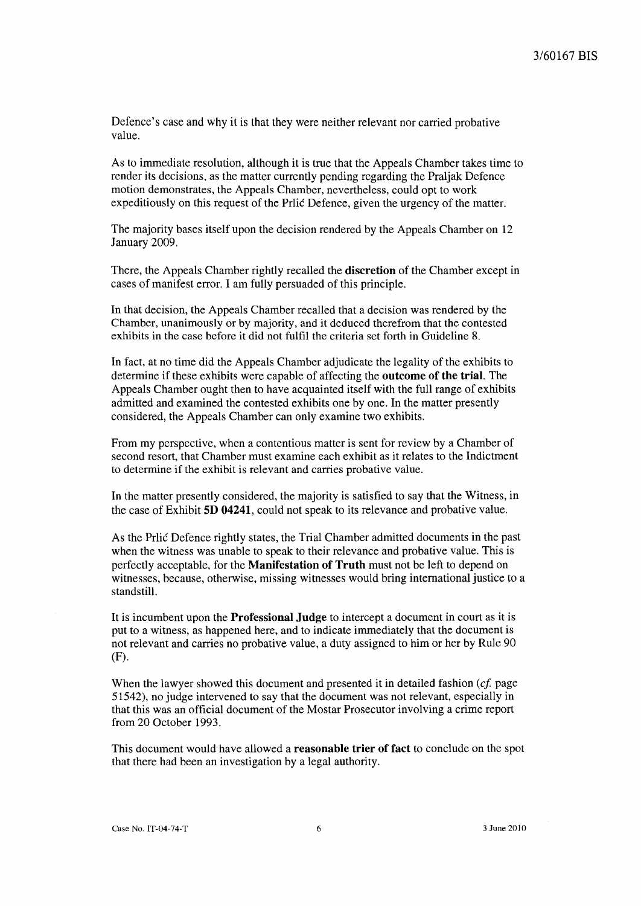Defence's case and why it is that they were neither relevant nor carried probative value.

As to immediate resolution, although it is true that the Appeals Chamber takes time to render its decisions, as the matter currently pending regarding the Praljak Defence motion demonstrates, the Appeals Chamber, nevertheless, could opt to work expeditiously on this request of the Prlic Defence, given the urgency of the matter.

The majority bases itself upon the decision rendered by the Appeals Chamber on 12 January 2009.

There, the Appeals Chamber rightly recalled the **discretion** of the Chamber except in cases of manifest error. I am fully persuaded of this principle.

In that decision, the Appeals Chamber recalled that a decision was rendered by the Chamber, unanimously or by majority, and it deduced therefrom that the contested exhibits in the case before it did not fulfil the criteria set forth in Guideline 8.

In fact, at no time did the Appeals Chamber adjudicate the legality of the exhibits to determine if these exhibits were capable of affecting the **outcome of the trial.** The Appeals Chamber ought then to have acquainted itself with the full range of exhibits admitted and examined the contested exhibits one by one. In the matter presently considered, the Appeals Chamber can only examine two exhibits.

From my perspective, when a contentious matter is sent for review by a Chamber of second resort, that Chamber must examine each exhibit as it relates to the Indictment to determine if the exhibit is relevant and carries probative value.

In the matter presently considered, the majority is satisfied to say that the Witness, in the case of Exhibit **SD 04241,** could not speak to its relevance and probative value.

As the Prlic Defence rightly states, the Trial Chamber admitted documents in the past when the witness was unable to speak to their relevance and probative value. This is perfectly acceptable, for the **Manifestation of Truth** must not be left to depend on witnesses, because, otherwise, missing witnesses would bring international justice to a standstill.

It is incumbent upon the **Professional Judge** to intercept a document in court as it is put to a witness, as happened here, and to indicate immediately that the document is not relevant and carries no probative value, a duty assigned to him or her by Rule 90 (F).

When the lawyer showed this document and presented it in detailed fashion  $(cf)$  page 51542), no judge intervened to say that the document was not relevant, especially in that this was an official document of the Mostar Prosecutor involving a crime report from 20 October 1993.

This document would have allowed a **reasonable trier of fact** to conclude on the spot that there had been an investigation by a legal authority.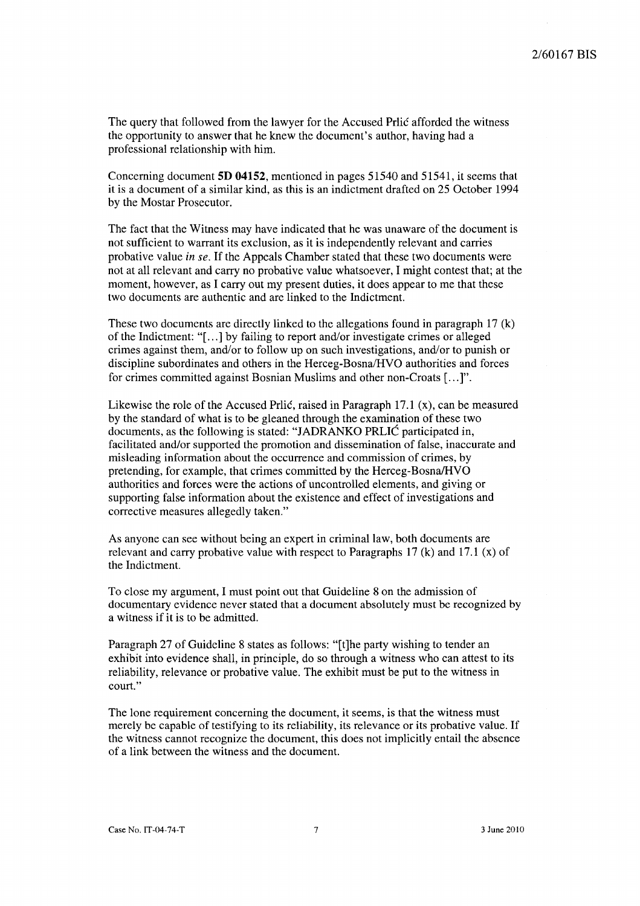The query that followed from the lawyer for the Accused Prlic afforded the witness the opportunity to answer that he knew the document's author, having had a professional relationship with him.

Concerning document **5D 04152,** mentioned in pages 51540 and 51541, it seems that it is a document of a similar kind, as this is an indictment drafted on 25 October 1994 by the Mostar Prosecutor.

The fact that the Witness may have indicated that he was unaware of the document is not sufficient to warrant its exclusion, as it is independently relevant and carries probative value *in se.* If the Appeals Chamber stated that these two documents were not at all relevant and carry no probative value whatsoever, I might contest that; at the moment, however, as I carry out my present duties, it does appear to me that these two documents are authentic and are linked to the Indictment.

These two documents are directly linked to the allegations found in paragraph 17 (k) of the Indictment: "[ ... ] by failing to report and/or investigate crimes or alleged crimes against them, and/or to follow up on such investigations, and/or to punish or discipline subordinates and others in the Herceg-Bosna/HVO authorities and forces for crimes committed against Bosnian Muslims and other non-Croats [ ... ]".

Likewise the role of the Accused Prlic, raised in Paragraph  $17.1$  (x), can be measured by the standard of what is to be gleaned through the examination of these two documents, as the following is stated: "JADRANKO PRLIC participated in, facilitated and/or supported the promotion and dissemination of false, inaccurate and misleading information about the occurrence and commission of crimes, by pretending, for example, that crimes committed by the Herceg-Bosna/HVO authorities and forces were the actions of uncontrolled elements, and giving or supporting false information about the existence and effect of investigations and corrective measures allegedly taken."

As anyone can see without being an expert in criminal law, both documents are relevant and carry probative value with respect to Paragraphs  $17 \text{ (k)}$  and  $17.1 \text{ (x)}$  of the Indictment.

To close my argument, I must point out that Guideline 8 on the admission of documentary evidence never stated that a document absolutely must be recognized by a witness if it is to be admitted.

Paragraph 27 of Guideline 8 states as follows: "[t]he party wishing to tender an exhibit into evidence shall, in principle, do so through a witness who can attest to its reliability, relevance or probative value. The exhibit must be put to the witness in court."

The lone requirement concerning the document, it seems, is that the witness must merely be capable of testifying to its reliability, its relevance or its probative value. If the witness cannot recognize the document, this does not implicitly entail the absence of a link between the witness and the document.